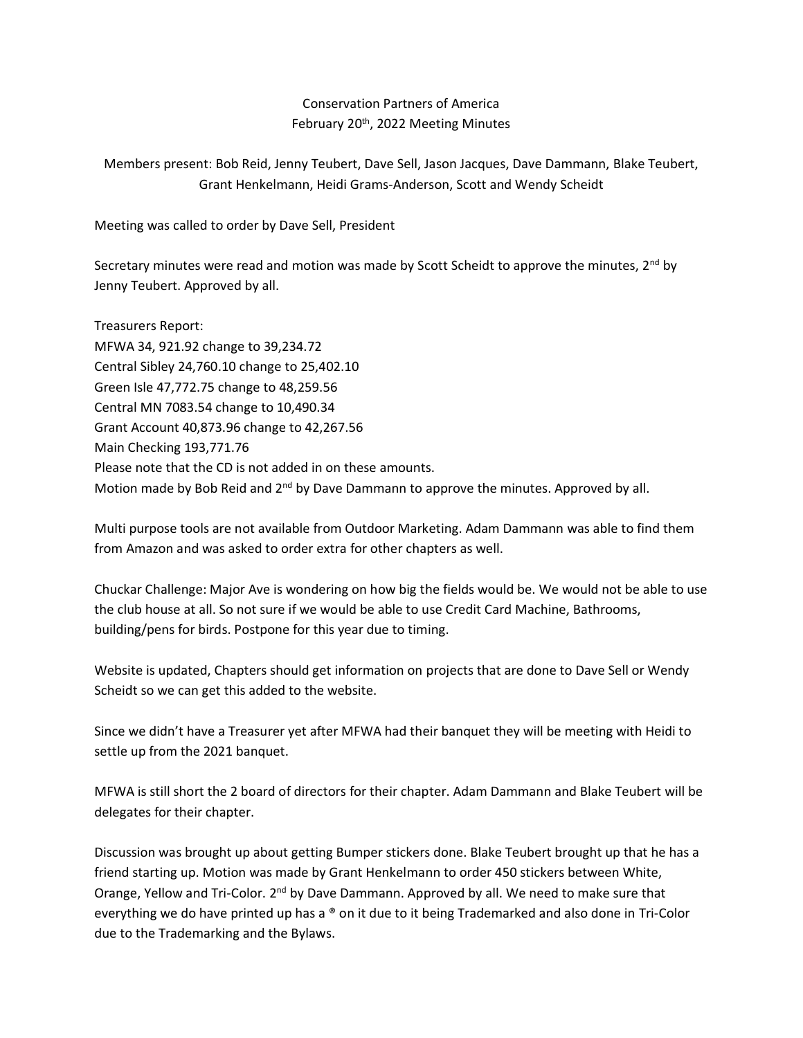## Conservation Partners of America February 20<sup>th</sup>, 2022 Meeting Minutes

Members present: Bob Reid, Jenny Teubert, Dave Sell, Jason Jacques, Dave Dammann, Blake Teubert, Grant Henkelmann, Heidi Grams-Anderson, Scott and Wendy Scheidt

Meeting was called to order by Dave Sell, President

Secretary minutes were read and motion was made by Scott Scheidt to approve the minutes,  $2<sup>nd</sup>$  by Jenny Teubert. Approved by all.

Treasurers Report: MFWA 34, 921.92 change to 39,234.72 Central Sibley 24,760.10 change to 25,402.10 Green Isle 47,772.75 change to 48,259.56 Central MN 7083.54 change to 10,490.34 Grant Account 40,873.96 change to 42,267.56 Main Checking 193,771.76 Please note that the CD is not added in on these amounts. Motion made by Bob Reid and 2<sup>nd</sup> by Dave Dammann to approve the minutes. Approved by all.

Multi purpose tools are not available from Outdoor Marketing. Adam Dammann was able to find them from Amazon and was asked to order extra for other chapters as well.

Chuckar Challenge: Major Ave is wondering on how big the fields would be. We would not be able to use the club house at all. So not sure if we would be able to use Credit Card Machine, Bathrooms, building/pens for birds. Postpone for this year due to timing.

Website is updated, Chapters should get information on projects that are done to Dave Sell or Wendy Scheidt so we can get this added to the website.

Since we didn't have a Treasurer yet after MFWA had their banquet they will be meeting with Heidi to settle up from the 2021 banquet.

MFWA is still short the 2 board of directors for their chapter. Adam Dammann and Blake Teubert will be delegates for their chapter.

Discussion was brought up about getting Bumper stickers done. Blake Teubert brought up that he has a friend starting up. Motion was made by Grant Henkelmann to order 450 stickers between White, Orange, Yellow and Tri-Color. 2<sup>nd</sup> by Dave Dammann. Approved by all. We need to make sure that everything we do have printed up has a ® on it due to it being Trademarked and also done in Tri-Color due to the Trademarking and the Bylaws.